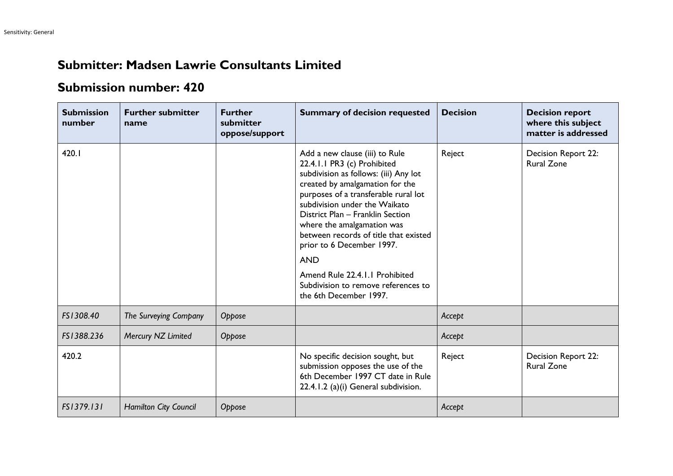## **Submitter: Madsen Lawrie Consultants Limited**

## **Submission number: 420**

| <b>Submission</b><br>number | <b>Further submitter</b><br>name | <b>Further</b><br>submitter<br>oppose/support | <b>Summary of decision requested</b>                                                                                                                                                                                                                                                                                                                                                                                                                                        | <b>Decision</b> | <b>Decision report</b><br>where this subject<br>matter is addressed |
|-----------------------------|----------------------------------|-----------------------------------------------|-----------------------------------------------------------------------------------------------------------------------------------------------------------------------------------------------------------------------------------------------------------------------------------------------------------------------------------------------------------------------------------------------------------------------------------------------------------------------------|-----------------|---------------------------------------------------------------------|
| 420.I                       |                                  |                                               | Add a new clause (iii) to Rule<br>22.4.1.1 PR3 (c) Prohibited<br>subdivision as follows: (iii) Any lot<br>created by amalgamation for the<br>purposes of a transferable rural lot<br>subdivision under the Waikato<br>District Plan - Franklin Section<br>where the amalgamation was<br>between records of title that existed<br>prior to 6 December 1997.<br><b>AND</b><br>Amend Rule 22.4.1.1 Prohibited<br>Subdivision to remove references to<br>the 6th December 1997. | Reject          | Decision Report 22:<br><b>Rural Zone</b>                            |
| FS1308.40                   | The Surveying Company            | Oppose                                        |                                                                                                                                                                                                                                                                                                                                                                                                                                                                             | Accept          |                                                                     |
| FS1388.236                  | Mercury NZ Limited               | Oppose                                        |                                                                                                                                                                                                                                                                                                                                                                                                                                                                             | Accept          |                                                                     |
| 420.2                       |                                  |                                               | No specific decision sought, but<br>submission opposes the use of the<br>6th December 1997 CT date in Rule<br>22.4.1.2 (a)(i) General subdivision.                                                                                                                                                                                                                                                                                                                          | Reject          | Decision Report 22:<br><b>Rural Zone</b>                            |
| FS1379.131                  | <b>Hamilton City Council</b>     | Oppose                                        |                                                                                                                                                                                                                                                                                                                                                                                                                                                                             | Accept          |                                                                     |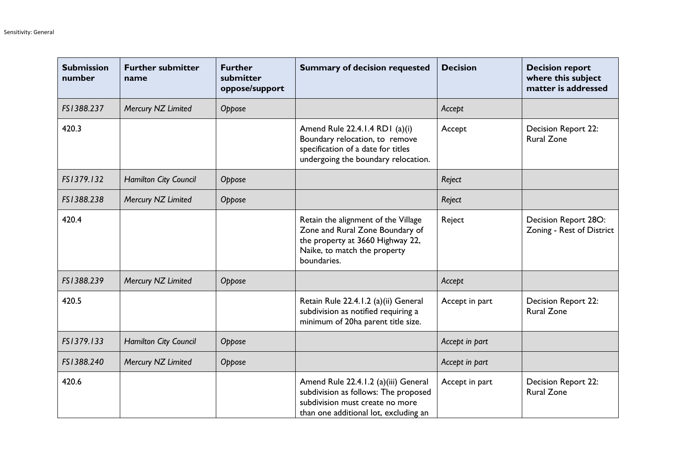| <b>Submission</b><br>number | <b>Further submitter</b><br>name | <b>Further</b><br>submitter<br>oppose/support | <b>Summary of decision requested</b>                                                                                                                      | <b>Decision</b> | <b>Decision report</b><br>where this subject<br>matter is addressed |
|-----------------------------|----------------------------------|-----------------------------------------------|-----------------------------------------------------------------------------------------------------------------------------------------------------------|-----------------|---------------------------------------------------------------------|
| FS1388.237                  | Mercury NZ Limited               | Oppose                                        |                                                                                                                                                           | Accept          |                                                                     |
| 420.3                       |                                  |                                               | Amend Rule 22.4.1.4 RD1 (a)(i)<br>Boundary relocation, to remove<br>specification of a date for titles<br>undergoing the boundary relocation.             | Accept          | Decision Report 22:<br><b>Rural Zone</b>                            |
| FS1379.132                  | <b>Hamilton City Council</b>     | Oppose                                        |                                                                                                                                                           | Reject          |                                                                     |
| FS1388.238                  | Mercury NZ Limited               | Oppose                                        |                                                                                                                                                           | Reject          |                                                                     |
| 420.4                       |                                  |                                               | Retain the alignment of the Village<br>Zone and Rural Zone Boundary of<br>the property at 3660 Highway 22,<br>Naike, to match the property<br>boundaries. | Reject          | Decision Report 28O:<br>Zoning - Rest of District                   |
| FS1388.239                  | Mercury NZ Limited               | Oppose                                        |                                                                                                                                                           | Accept          |                                                                     |
| 420.5                       |                                  |                                               | Retain Rule 22.4.1.2 (a)(ii) General<br>subdivision as notified requiring a<br>minimum of 20ha parent title size.                                         | Accept in part  | <b>Decision Report 22:</b><br><b>Rural Zone</b>                     |
| FS1379.133                  | Hamilton City Council            | Oppose                                        |                                                                                                                                                           | Accept in part  |                                                                     |
| FS1388.240                  | Mercury NZ Limited               | Oppose                                        |                                                                                                                                                           | Accept in part  |                                                                     |
| 420.6                       |                                  |                                               | Amend Rule 22.4.1.2 (a)(iii) General<br>subdivision as follows: The proposed<br>subdivision must create no more<br>than one additional lot, excluding an  | Accept in part  | Decision Report 22:<br><b>Rural Zone</b>                            |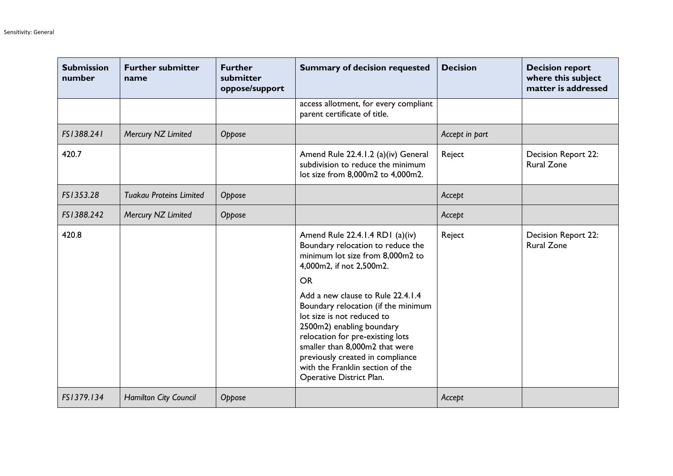| <b>Submission</b><br>number | <b>Further submitter</b><br>name | <b>Further</b><br>submitter<br>oppose/support | <b>Summary of decision requested</b>                                                                                                                                                                                                                                                                                                                                                                                                                               | <b>Decision</b> | <b>Decision report</b><br>where this subject<br>matter is addressed |
|-----------------------------|----------------------------------|-----------------------------------------------|--------------------------------------------------------------------------------------------------------------------------------------------------------------------------------------------------------------------------------------------------------------------------------------------------------------------------------------------------------------------------------------------------------------------------------------------------------------------|-----------------|---------------------------------------------------------------------|
|                             |                                  |                                               | access allotment, for every compliant<br>parent certificate of title.                                                                                                                                                                                                                                                                                                                                                                                              |                 |                                                                     |
| FS1388.241                  | Mercury NZ Limited               | Oppose                                        |                                                                                                                                                                                                                                                                                                                                                                                                                                                                    | Accept in part  |                                                                     |
| 420.7                       |                                  |                                               | Amend Rule 22.4.1.2 (a)(iv) General<br>subdivision to reduce the minimum<br>lot size from 8,000m2 to 4,000m2.                                                                                                                                                                                                                                                                                                                                                      | Reject          | <b>Decision Report 22:</b><br><b>Rural Zone</b>                     |
| FS1353.28                   | <b>Tuakau Proteins Limited</b>   | Oppose                                        |                                                                                                                                                                                                                                                                                                                                                                                                                                                                    | Accept          |                                                                     |
| FS1388.242                  | Mercury NZ Limited               | Oppose                                        |                                                                                                                                                                                                                                                                                                                                                                                                                                                                    | Accept          |                                                                     |
| 420.8                       |                                  |                                               | Amend Rule 22.4.1.4 RD1 (a)(iv)<br>Boundary relocation to reduce the<br>minimum lot size from 8,000m2 to<br>4,000m2, if not 2,500m2.<br><b>OR</b><br>Add a new clause to Rule 22.4.1.4<br>Boundary relocation (if the minimum<br>lot size is not reduced to<br>2500m2) enabling boundary<br>relocation for pre-existing lots<br>smaller than 8,000m2 that were<br>previously created in compliance<br>with the Franklin section of the<br>Operative District Plan. | Reject          | Decision Report 22:<br><b>Rural Zone</b>                            |
| FS1379.134                  | <b>Hamilton City Council</b>     | Oppose                                        |                                                                                                                                                                                                                                                                                                                                                                                                                                                                    | Accept          |                                                                     |